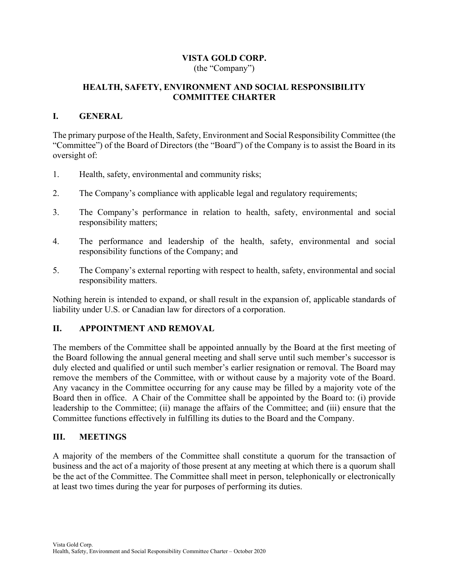## VISTA GOLD CORP. (the "Company")

# HEALTH, SAFETY, ENVIRONMENT AND SOCIAL RESPONSIBILITY COMMITTEE CHARTER

## I. GENERAL

The primary purpose of the Health, Safety, Environment and Social Responsibility Committee (the "Committee") of the Board of Directors (the "Board") of the Company is to assist the Board in its oversight of:

- 1. Health, safety, environmental and community risks;
- 2. The Company's compliance with applicable legal and regulatory requirements;
- 3. The Company's performance in relation to health, safety, environmental and social responsibility matters;
- 4. The performance and leadership of the health, safety, environmental and social responsibility functions of the Company; and
- 5. The Company's external reporting with respect to health, safety, environmental and social responsibility matters.

Nothing herein is intended to expand, or shall result in the expansion of, applicable standards of liability under U.S. or Canadian law for directors of a corporation.

#### II. APPOINTMENT AND REMOVAL

The members of the Committee shall be appointed annually by the Board at the first meeting of the Board following the annual general meeting and shall serve until such member's successor is duly elected and qualified or until such member's earlier resignation or removal. The Board may remove the members of the Committee, with or without cause by a majority vote of the Board. Any vacancy in the Committee occurring for any cause may be filled by a majority vote of the Board then in office. A Chair of the Committee shall be appointed by the Board to: (i) provide leadership to the Committee; (ii) manage the affairs of the Committee; and (iii) ensure that the Committee functions effectively in fulfilling its duties to the Board and the Company.

### III. MEETINGS

A majority of the members of the Committee shall constitute a quorum for the transaction of business and the act of a majority of those present at any meeting at which there is a quorum shall be the act of the Committee. The Committee shall meet in person, telephonically or electronically at least two times during the year for purposes of performing its duties.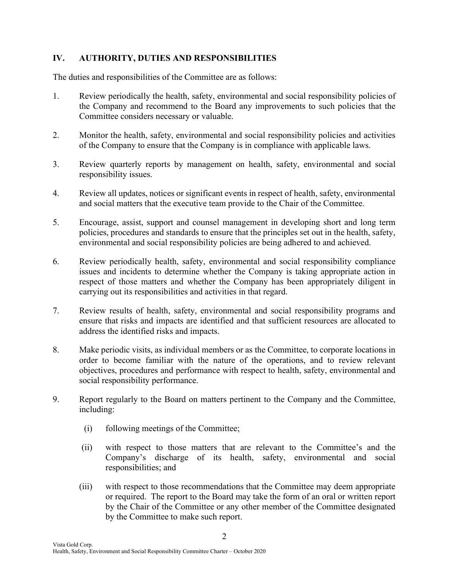# IV. AUTHORITY, DUTIES AND RESPONSIBILITIES

The duties and responsibilities of the Committee are as follows:

- 1. Review periodically the health, safety, environmental and social responsibility policies of the Company and recommend to the Board any improvements to such policies that the Committee considers necessary or valuable.
- 2. Monitor the health, safety, environmental and social responsibility policies and activities of the Company to ensure that the Company is in compliance with applicable laws.
- 3. Review quarterly reports by management on health, safety, environmental and social responsibility issues.
- 4. Review all updates, notices or significant events in respect of health, safety, environmental and social matters that the executive team provide to the Chair of the Committee.
- 5. Encourage, assist, support and counsel management in developing short and long term policies, procedures and standards to ensure that the principles set out in the health, safety, environmental and social responsibility policies are being adhered to and achieved.
- 6. Review periodically health, safety, environmental and social responsibility compliance issues and incidents to determine whether the Company is taking appropriate action in respect of those matters and whether the Company has been appropriately diligent in carrying out its responsibilities and activities in that regard.
- 7. Review results of health, safety, environmental and social responsibility programs and ensure that risks and impacts are identified and that sufficient resources are allocated to address the identified risks and impacts.
- 8. Make periodic visits, as individual members or as the Committee, to corporate locations in order to become familiar with the nature of the operations, and to review relevant objectives, procedures and performance with respect to health, safety, environmental and social responsibility performance.
- 9. Report regularly to the Board on matters pertinent to the Company and the Committee, including:
	- (i) following meetings of the Committee;
	- (ii) with respect to those matters that are relevant to the Committee's and the Company's discharge of its health, safety, environmental and social responsibilities; and
	- (iii) with respect to those recommendations that the Committee may deem appropriate or required. The report to the Board may take the form of an oral or written report by the Chair of the Committee or any other member of the Committee designated by the Committee to make such report.

2